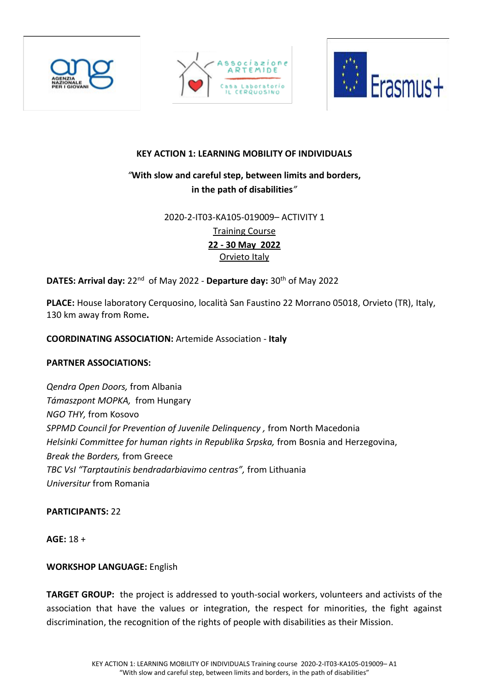





# **KEY ACTION 1: LEARNING MOBILITY OF INDIVIDUALS**

# *"***With slow and careful step, between limits and borders, in the path of disabilities***"*

#### 2020-2-IT03-KA105-019009– ACTIVITY 1

Training Course **22 - 30 May 2022** Orvieto Italy

# **DATES: Arrival day:** 22<sup>nd</sup> of May 2022 - Departure day: 30<sup>th</sup> of May 2022

**PLACE:** House laboratory Cerquosino, località San Faustino 22 Morrano 05018, Orvieto (TR), Italy, 130 km away from Rome**.**

#### **COORDINATING ASSOCIATION:** Artemide Association - **Italy**

## **PARTNER ASSOCIATIONS:**

*Qendra Open Doors,* from Albania *Támaszpont MOPKA,* from Hungary *NGO THY,* from Kosovo *SPPMD Council for Prevention of Juvenile Delinquency ,* from North Macedonia *Helsinki Committee for human rights in Republika Srpska,* from Bosnia and Herzegovina, *Break the Borders,* from Greece *TBC VsI "Tarptautinis bendradarbiavimo centras",* from Lithuania *Universitur* from Romania

#### **PARTICIPANTS:** 22

**AGE:** 18 +

## **WORKSHOP LANGUAGE:** English

**TARGET GROUP:** the project is addressed to youth-social workers, volunteers and activists of the association that have the values or integration, the respect for minorities, the fight against discrimination, the recognition of the rights of people with disabilities as their Mission.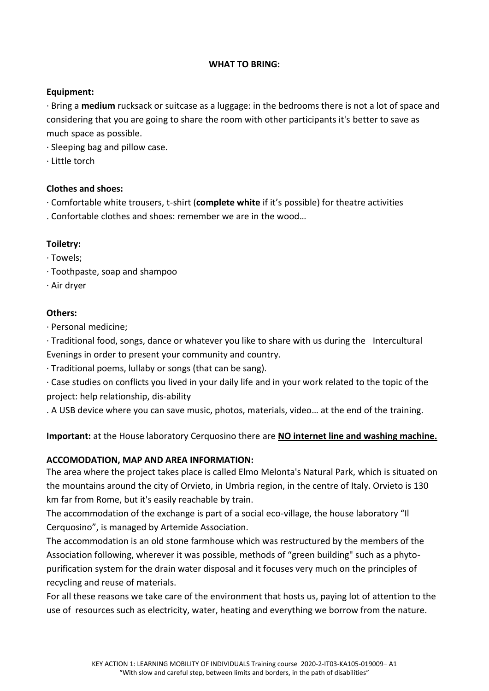#### **WHAT TO BRING:**

## **Equipment:**

· Bring a **medium** rucksack or suitcase as a luggage: in the bedrooms there is not a lot of space and considering that you are going to share the room with other participants it's better to save as much space as possible.

· Sleeping bag and pillow case.

· Little torch

# **Clothes and shoes:**

- · Comfortable white trousers, t-shirt (**complete white** if it's possible) for theatre activities
- . Confortable clothes and shoes: remember we are in the wood…

# **Toiletry:**

- · Towels;
- · Toothpaste, soap and shampoo
- · Air dryer

# **Others:**

· Personal medicine;

· Traditional food, songs, dance or whatever you like to share with us during the Intercultural Evenings in order to present your community and country.

· Traditional poems, lullaby or songs (that can be sang).

· Case studies on conflicts you lived in your daily life and in your work related to the topic of the project: help relationship, dis-ability

. A USB device where you can save music, photos, materials, video… at the end of the training.

**Important:** at the House laboratory Cerquosino there are **NO internet line and washing machine.**

# **ACCOMODATION, MAP AND AREA INFORMATION:**

The area where the project takes place is called Elmo Melonta's Natural Park, which is situated on the mountains around the city of Orvieto, in Umbria region, in the centre of Italy. Orvieto is 130 km far from Rome, but it's easily reachable by train.

The accommodation of the exchange is part of a social eco-village, the house laboratory "Il Cerquosino", is managed by Artemide Association.

The accommodation is an old stone farmhouse which was restructured by the members of the Association following, wherever it was possible, methods of "green building" such as a phytopurification system for the drain water disposal and it focuses very much on the principles of recycling and reuse of materials.

For all these reasons we take care of the environment that hosts us, paying lot of attention to the use of resources such as electricity, water, heating and everything we borrow from the nature.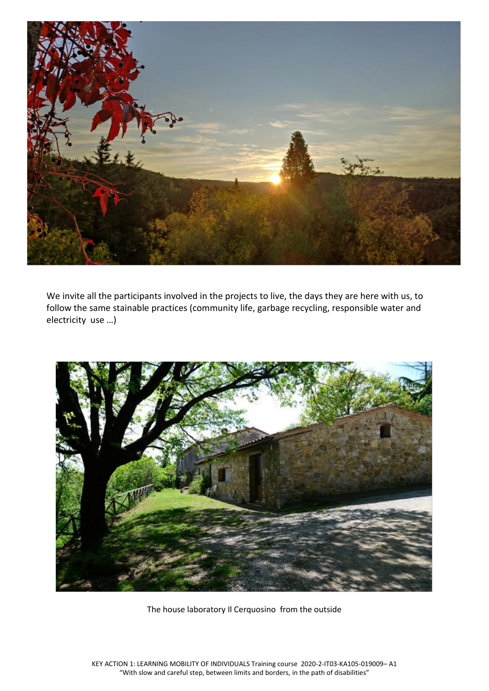

We invite all the participants involved in the projects to live, the days they are here with us, to follow the same stainable practices (community life, garbage recycling, responsible water and electricity use …)



The house laboratory Il Cerquosino from the outside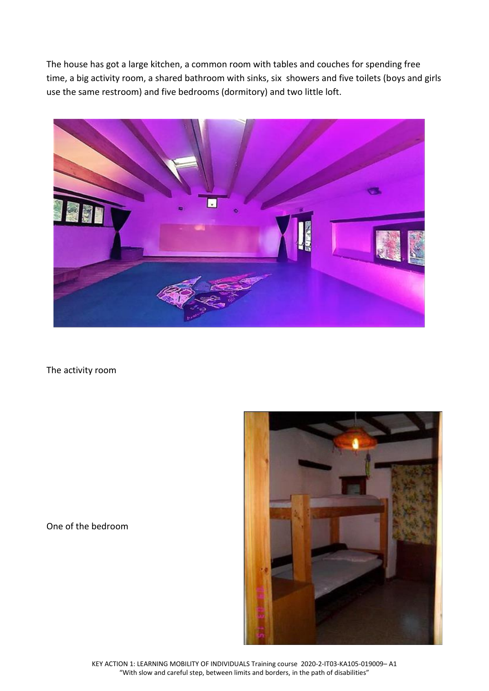The house has got a large kitchen, a common room with tables and couches for spending free time, a big activity room, a shared bathroom with sinks, six showers and five toilets (boys and girls use the same restroom) and five bedrooms (dormitory) and two little loft.



The activity room

One of the bedroom



KEY ACTION 1: LEARNING MOBILITY OF INDIVIDUALS Training course 2020-2-IT03-KA105-019009– A1 "With slow and careful step, between limits and borders, in the path of disabilities"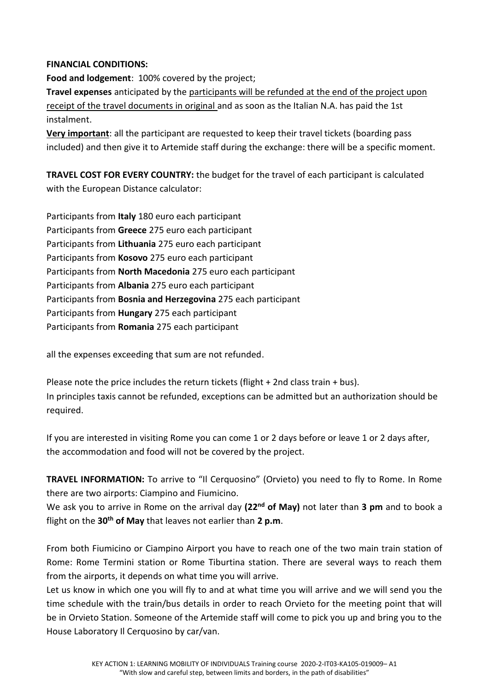#### **FINANCIAL CONDITIONS:**

**Food and lodgement**: 100% covered by the project;

**Travel expenses** anticipated by the participants will be refunded at the end of the project upon receipt of the travel documents in original and as soon as the Italian N.A. has paid the 1st instalment.

**Very important**: all the participant are requested to keep their travel tickets (boarding pass included) and then give it to Artemide staff during the exchange: there will be a specific moment.

**TRAVEL COST FOR EVERY COUNTRY:** the budget for the travel of each participant is calculated with the European Distance calculator:

Participants from **Italy** 180 euro each participant Participants from **Greece** 275 euro each participant Participants from **Lithuania** 275 euro each participant Participants from **Kosovo** 275 euro each participant Participants from **North Macedonia** 275 euro each participant Participants from **Albania** 275 euro each participant Participants from **Bosnia and Herzegovina** 275 each participant Participants from **Hungary** 275 each participant Participants from **Romania** 275 each participant

all the expenses exceeding that sum are not refunded.

Please note the price includes the return tickets (flight + 2nd class train + bus). In principles taxis cannot be refunded, exceptions can be admitted but an authorization should be required.

If you are interested in visiting Rome you can come 1 or 2 days before or leave 1 or 2 days after, the accommodation and food will not be covered by the project.

**TRAVEL INFORMATION:** To arrive to "Il Cerquosino" (Orvieto) you need to fly to Rome. In Rome there are two airports: Ciampino and Fiumicino.

We ask you to arrive in Rome on the arrival day **(22nd of May)** not later than **3 pm** and to book a flight on the **30th of May** that leaves not earlier than **2 p.m**.

From both Fiumicino or Ciampino Airport you have to reach one of the two main train station of Rome: Rome Termini station or Rome Tiburtina station. There are several ways to reach them from the airports, it depends on what time you will arrive.

Let us know in which one you will fly to and at what time you will arrive and we will send you the time schedule with the train/bus details in order to reach Orvieto for the meeting point that will be in Orvieto Station. Someone of the Artemide staff will come to pick you up and bring you to the House Laboratory Il Cerquosino by car/van.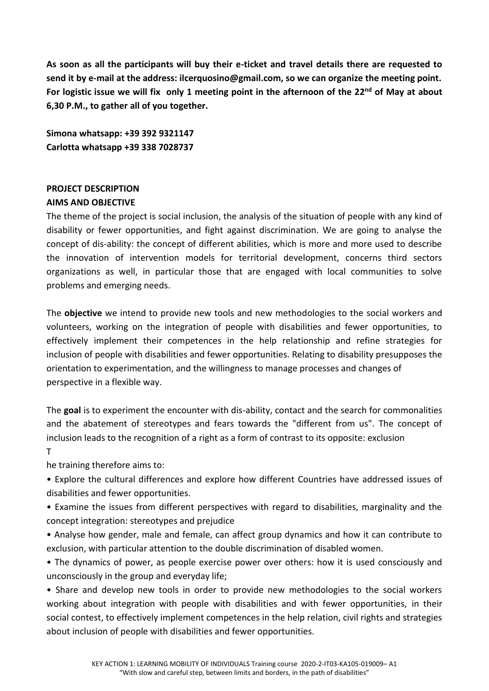**As soon as all the participants will buy their e-ticket and travel details there are requested to send it by e-mail at the address: ilcerquosino@gmail.com, so we can organize the meeting point.** For logistic issue we will fix only 1 meeting point in the afternoon of the 22<sup>nd</sup> of May at about **6,30 P.M., to gather all of you together.**

**Simona whatsapp: +39 392 9321147 Carlotta whatsapp +39 338 7028737**

# **PROJECT DESCRIPTION AIMS AND OBJECTIVE**

The theme of the project is social inclusion, the analysis of the situation of people with any kind of disability or fewer opportunities, and fight against discrimination. We are going to analyse the concept of dis-ability: the concept of different abilities, which is more and more used to describe the innovation of intervention models for territorial development, concerns third sectors organizations as well, in particular those that are engaged with local communities to solve problems and emerging needs.

The **objective** we intend to provide new tools and new methodologies to the social workers and volunteers, working on the integration of people with disabilities and fewer opportunities, to effectively implement their competences in the help relationship and refine strategies for inclusion of people with disabilities and fewer opportunities. Relating to disability presupposes the orientation to experimentation, and the willingness to manage processes and changes of perspective in a flexible way.

The **goal** is to experiment the encounter with dis-ability, contact and the search for commonalities and the abatement of stereotypes and fears towards the "different from us". The concept of inclusion leads to the recognition of a right as a form of contrast to its opposite: exclusion T

he training therefore aims to:

• Explore the cultural differences and explore how different Countries have addressed issues of disabilities and fewer opportunities.

• Examine the issues from different perspectives with regard to disabilities, marginality and the concept integration: stereotypes and prejudice

• Analyse how gender, male and female, can affect group dynamics and how it can contribute to exclusion, with particular attention to the double discrimination of disabled women.

• The dynamics of power, as people exercise power over others: how it is used consciously and unconsciously in the group and everyday life;

• Share and develop new tools in order to provide new methodologies to the social workers working about integration with people with disabilities and with fewer opportunities, in their social contest, to effectively implement competences in the help relation, civil rights and strategies about inclusion of people with disabilities and fewer opportunities.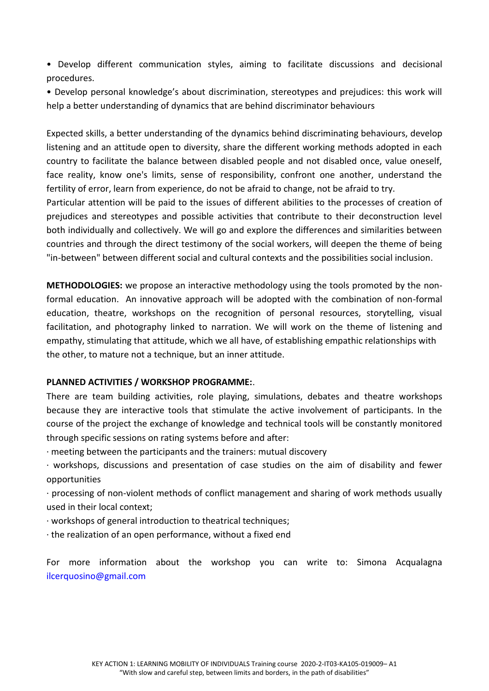• Develop different communication styles, aiming to facilitate discussions and decisional procedures.

• Develop personal knowledge's about discrimination, stereotypes and prejudices: this work will help a better understanding of dynamics that are behind discriminator behaviours

Expected skills, a better understanding of the dynamics behind discriminating behaviours, develop listening and an attitude open to diversity, share the different working methods adopted in each country to facilitate the balance between disabled people and not disabled once, value oneself, face reality, know one's limits, sense of responsibility, confront one another, understand the fertility of error, learn from experience, do not be afraid to change, not be afraid to try. Particular attention will be paid to the issues of different abilities to the processes of creation of prejudices and stereotypes and possible activities that contribute to their deconstruction level

both individually and collectively. We will go and explore the differences and similarities between countries and through the direct testimony of the social workers, will deepen the theme of being "in-between" between different social and cultural contexts and the possibilities social inclusion.

**METHODOLOGIES:** we propose an interactive methodology using the tools promoted by the nonformal education. An innovative approach will be adopted with the combination of non-formal education, theatre, workshops on the recognition of personal resources, storytelling, visual facilitation, and photography linked to narration. We will work on the theme of listening and empathy, stimulating that attitude, which we all have, of establishing empathic relationships with the other, to mature not a technique, but an inner attitude.

#### **PLANNED ACTIVITIES / WORKSHOP PROGRAMME:**.

There are team building activities, role playing, simulations, debates and theatre workshops because they are interactive tools that stimulate the active involvement of participants. In the course of the project the exchange of knowledge and technical tools will be constantly monitored through specific sessions on rating systems before and after:

· meeting between the participants and the trainers: mutual discovery

· workshops, discussions and presentation of case studies on the aim of disability and fewer opportunities

· processing of non-violent methods of conflict management and sharing of work methods usually used in their local context;

· workshops of general introduction to theatrical techniques;

· the realization of an open performance, without a fixed end

For more information about the workshop you can write to: Simona Acqualagna ilcerquosino@gmail.com